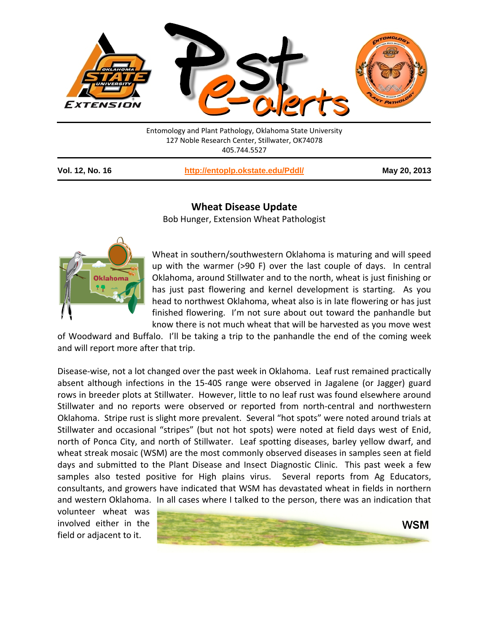

127 Noble Research Center, Stillwater, OK74078 405.744.5527

| <b>Vol. 12, No. 16</b> |  |  |  |
|------------------------|--|--|--|
|------------------------|--|--|--|

**Vol. 12, No. 16 <http://entoplp.okstate.edu/Pddl/> May 20, 2013**

## **Wheat Disease Update**

Bob Hunger, Extension Wheat Pathologist



Wheat in southern/southwestern Oklahoma is maturing and will speed up with the warmer (>90 F) over the last couple of days. In central Oklahoma, around Stillwater and to the north, wheat is just finishing or has just past flowering and kernel development is starting. As you head to northwest Oklahoma, wheat also is in late flowering or has just finished flowering. I'm not sure about out toward the panhandle but know there is not much wheat that will be harvested as you move west

of Woodward and Buffalo. I'll be taking a trip to the panhandle the end of the coming week and will report more after that trip.

Disease-wise, not a lot changed over the past week in Oklahoma. Leaf rust remained practically absent although infections in the 15-40S range were observed in Jagalene (or Jagger) guard rows in breeder plots at Stillwater. However, little to no leaf rust was found elsewhere around Stillwater and no reports were observed or reported from north-central and northwestern Oklahoma. Stripe rust is slight more prevalent. Several "hot spots" were noted around trials at Stillwater and occasional "stripes" (but not hot spots) were noted at field days west of Enid, north of Ponca City, and north of Stillwater. Leaf spotting diseases, barley yellow dwarf, and wheat streak mosaic (WSM) are the most commonly observed diseases in samples seen at field days and submitted to the Plant Disease and Insect Diagnostic Clinic. This past week a few samples also tested positive for High plains virus. Several reports from Ag Educators, consultants, and growers have indicated that WSM has devastated wheat in fields in northern and western Oklahoma. In all cases where I talked to the person, there was an indication that

volunteer wheat was involved either in the field or adjacent to it.

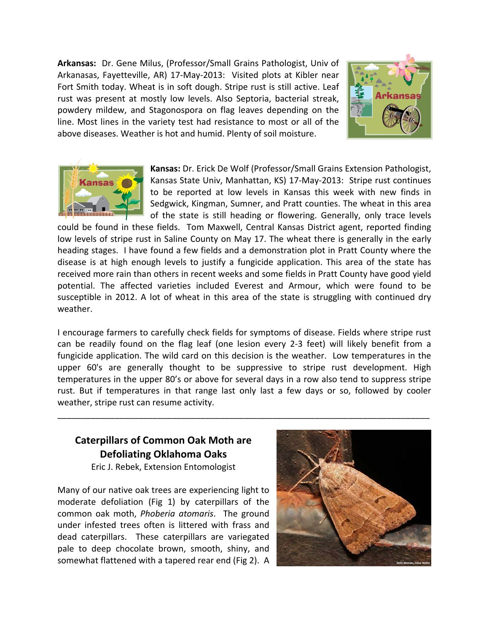**Arkansas:** Dr. Gene Milus, (Professor/Small Grains Pathologist, Univ of Arkanasas, Fayetteville, AR) 17-May-2013: Visited plots at Kibler near Fort Smith today. Wheat is in soft dough. Stripe rust is still active. Leaf rust was present at mostly low levels. Also Septoria, bacterial streak, powdery mildew, and Stagonospora on flag leaves depending on the line. Most lines in the variety test had resistance to most or all of the above diseases. Weather is hot and humid. Plenty of soil moisture.





**Kansas:** Dr. Erick De Wolf (Professor/Small Grains Extension Pathologist, Kansas State Univ, Manhattan, KS) 17-May-2013: Stripe rust continues to be reported at low levels in Kansas this week with new finds in Sedgwick, Kingman, Sumner, and Pratt counties. The wheat in this area of the state is still heading or flowering. Generally, only trace levels

could be found in these fields. Tom Maxwell, Central Kansas District agent, reported finding low levels of stripe rust in Saline County on May 17. The wheat there is generally in the early heading stages. I have found a few fields and a demonstration plot in Pratt County where the disease is at high enough levels to justify a fungicide application. This area of the state has received more rain than others in recent weeks and some fields in Pratt County have good yield potential. The affected varieties included Everest and Armour, which were found to be susceptible in 2012. A lot of wheat in this area of the state is struggling with continued dry weather.

I encourage farmers to carefully check fields for symptoms of disease. Fields where stripe rust can be readily found on the flag leaf (one lesion every 2-3 feet) will likely benefit from a fungicide application. The wild card on this decision is the weather. Low temperatures in the upper 60's are generally thought to be suppressive to stripe rust development. High temperatures in the upper 80's or above for several days in a row also tend to suppress stripe rust. But if temperatures in that range last only last a few days or so, followed by cooler weather, stripe rust can resume activity.

\_\_\_\_\_\_\_\_\_\_\_\_\_\_\_\_\_\_\_\_\_\_\_\_\_\_\_\_\_\_\_\_\_\_\_\_\_\_\_\_\_\_\_\_\_\_\_\_\_\_\_\_\_\_\_\_\_\_\_\_\_\_\_\_\_\_\_\_\_\_\_\_\_\_\_\_\_\_

## **Caterpillars of Common Oak Moth are Defoliating Oklahoma Oaks**

Eric J. Rebek, Extension Entomologist

Many of our native oak trees are experiencing light to moderate defoliation (Fig 1) by caterpillars of the common oak moth, *Phoberia atomaris*. The ground under infested trees often is littered with frass and dead caterpillars. These caterpillars are variegated pale to deep chocolate brown, smooth, shiny, and somewhat flattened with a tapered rear end (Fig 2). A

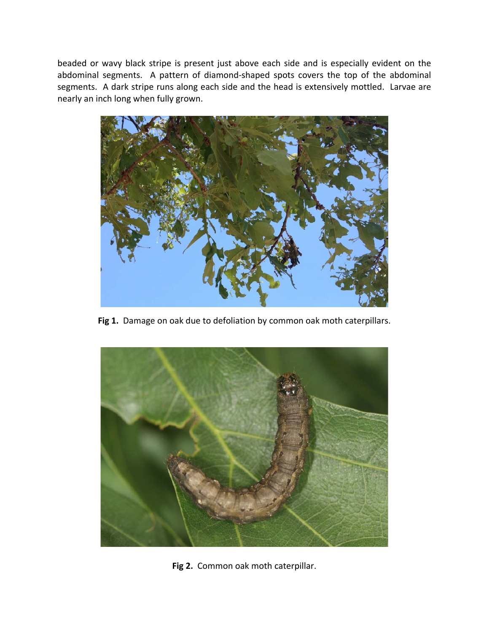beaded or wavy black stripe is present just above each side and is especially evident on the abdominal segments. A pattern of diamond-shaped spots covers the top of the abdominal segments. A dark stripe runs along each side and the head is extensively mottled. Larvae are nearly an inch long when fully grown.



Fig 1. Damage on oak due to defoliation by common oak moth caterpillars.



**Fig 2.** Common oak moth caterpillar.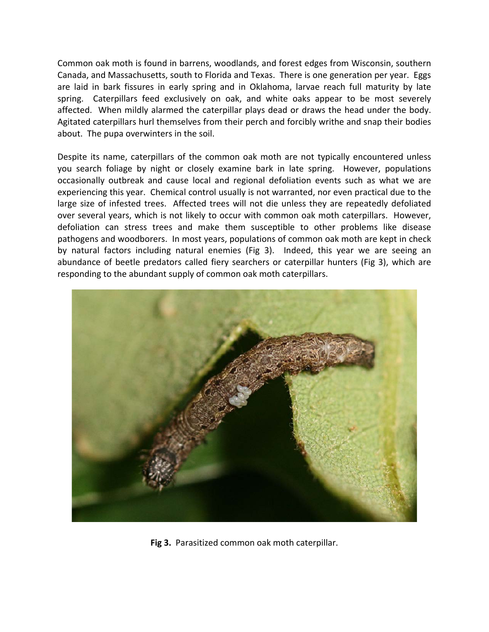Common oak moth is found in barrens, woodlands, and forest edges from Wisconsin, southern Canada, and Massachusetts, south to Florida and Texas. There is one generation per year. Eggs are laid in bark fissures in early spring and in Oklahoma, larvae reach full maturity by late spring. Caterpillars feed exclusively on oak, and white oaks appear to be most severely affected. When mildly alarmed the caterpillar plays dead or draws the head under the body. Agitated caterpillars hurl themselves from their perch and forcibly writhe and snap their bodies about. The pupa overwinters in the soil.

Despite its name, caterpillars of the common oak moth are not typically encountered unless you search foliage by night or closely examine bark in late spring. However, populations occasionally outbreak and cause local and regional defoliation events such as what we are experiencing this year. Chemical control usually is not warranted, nor even practical due to the large size of infested trees. Affected trees will not die unless they are repeatedly defoliated over several years, which is not likely to occur with common oak moth caterpillars. However, defoliation can stress trees and make them susceptible to other problems like disease pathogens and woodborers. In most years, populations of common oak moth are kept in check by natural factors including natural enemies (Fig 3). Indeed, this year we are seeing an abundance of beetle predators called fiery searchers or caterpillar hunters (Fig 3), which are responding to the abundant supply of common oak moth caterpillars.



**Fig 3.** Parasitized common oak moth caterpillar.